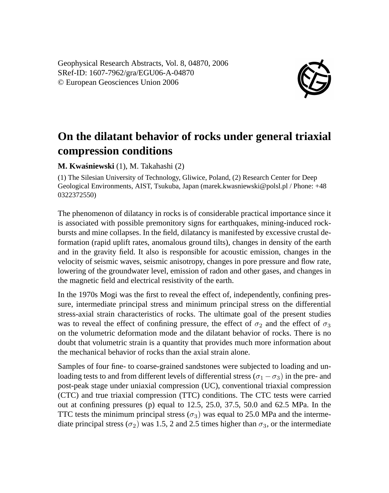Geophysical Research Abstracts, Vol. 8, 04870, 2006 SRef-ID: 1607-7962/gra/EGU06-A-04870 © European Geosciences Union 2006



## **On the dilatant behavior of rocks under general triaxial compression conditions**

**M. Kwasniewski ´** (1), M. Takahashi (2)

(1) The Silesian University of Technology, Gliwice, Poland, (2) Research Center for Deep Geological Environments, AIST, Tsukuba, Japan (marek.kwasniewski@polsl.pl / Phone: +48 0322372550)

The phenomenon of dilatancy in rocks is of considerable practical importance since it is associated with possible premonitory signs for earthquakes, mining-induced rockbursts and mine collapses. In the field, dilatancy is manifested by excessive crustal deformation (rapid uplift rates, anomalous ground tilts), changes in density of the earth and in the gravity field. It also is responsible for acoustic emission, changes in the velocity of seismic waves, seismic anisotropy, changes in pore pressure and flow rate, lowering of the groundwater level, emission of radon and other gases, and changes in the magnetic field and electrical resistivity of the earth.

In the 1970s Mogi was the first to reveal the effect of, independently, confining pressure, intermediate principal stress and minimum principal stress on the differential stress-axial strain characteristics of rocks. The ultimate goal of the present studies was to reveal the effect of confining pressure, the effect of  $\sigma_2$  and the effect of  $\sigma_3$ on the volumetric deformation mode and the dilatant behavior of rocks. There is no doubt that volumetric strain is a quantity that provides much more information about the mechanical behavior of rocks than the axial strain alone.

Samples of four fine- to coarse-grained sandstones were subjected to loading and unloading tests to and from different levels of differential stress ( $\sigma_1 - \sigma_3$ ) in the pre- and post-peak stage under uniaxial compression (UC), conventional triaxial compression (CTC) and true triaxial compression (TTC) conditions. The CTC tests were carried out at confining pressures (p) equal to 12.5, 25.0, 37.5, 50.0 and 62.5 MPa. In the TTC tests the minimum principal stress  $(\sigma_3)$  was equal to 25.0 MPa and the intermediate principal stress ( $\sigma_2$ ) was 1.5, 2 and 2.5 times higher than  $\sigma_3$ , or the intermediate